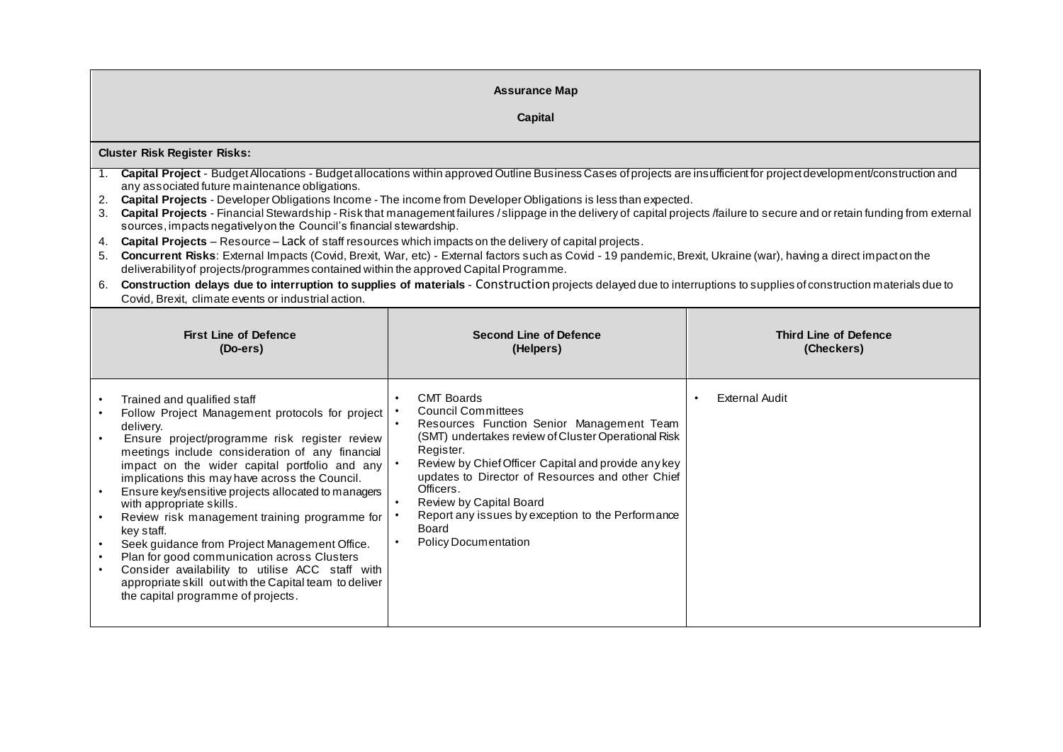| <b>Assurance Map</b><br>Capital                                                                                                                                                                                                                                                                                                                                                                                                                                                                                                                                                                                                                                                                                                                                                                                                                                                                                                                                                                                                                                                                                                                                                                                           |                                                                                                                                                                                                                                                                                                                                                                                                                                     |                                            |  |  |
|---------------------------------------------------------------------------------------------------------------------------------------------------------------------------------------------------------------------------------------------------------------------------------------------------------------------------------------------------------------------------------------------------------------------------------------------------------------------------------------------------------------------------------------------------------------------------------------------------------------------------------------------------------------------------------------------------------------------------------------------------------------------------------------------------------------------------------------------------------------------------------------------------------------------------------------------------------------------------------------------------------------------------------------------------------------------------------------------------------------------------------------------------------------------------------------------------------------------------|-------------------------------------------------------------------------------------------------------------------------------------------------------------------------------------------------------------------------------------------------------------------------------------------------------------------------------------------------------------------------------------------------------------------------------------|--------------------------------------------|--|--|
| <b>Cluster Risk Register Risks:</b><br>Capital Project - Budget Allocations - Budget allocations within approved Outline Business Cases of projects are insufficient for project development/construction and<br>1.<br>any associated future maintenance obligations.<br>2. Capital Projects - Developer Obligations Income - The income from Developer Obligations is less than expected.<br>3. Capital Projects - Financial Stewardship - Risk that management failures / slippage in the delivery of capital projects /failure to secure and or retain funding from external<br>sources, impacts negatively on the Council's financial stewardship.<br>Capital Projects - Resource - Lack of staff resources which impacts on the delivery of capital projects.<br>4.<br>Concurrent Risks: External Impacts (Covid, Brexit, War, etc) - External factors such as Covid - 19 pandemic, Brexit, Ukraine (war), having a direct impact on the<br>5.<br>deliverability of projects/programmes contained within the approved Capital Programme.<br>Construction delays due to interruption to supplies of materials - Construction projects delayed due to interruptions to supplies of construction materials due to<br>6. |                                                                                                                                                                                                                                                                                                                                                                                                                                     |                                            |  |  |
| Covid, Brexit, climate events or industrial action.<br><b>First Line of Defence</b><br>(Do-ers)                                                                                                                                                                                                                                                                                                                                                                                                                                                                                                                                                                                                                                                                                                                                                                                                                                                                                                                                                                                                                                                                                                                           | <b>Second Line of Defence</b><br>(Helpers)                                                                                                                                                                                                                                                                                                                                                                                          | <b>Third Line of Defence</b><br>(Checkers) |  |  |
| Trained and qualified staff<br>Follow Project Management protocols for project<br>delivery.<br>Ensure project/programme risk register review<br>meetings include consideration of any financial<br>impact on the wider capital portfolio and any<br>implications this may have across the Council.<br>Ensure key/sensitive projects allocated to managers<br>with appropriate skills.<br>Review risk management training programme for<br>key staff.<br>Seek guidance from Project Management Office.<br>$\bullet$<br>Plan for good communication across Clusters<br>Consider availability to utilise ACC staff with<br>$\bullet$<br>appropriate skill out with the Capital team to deliver<br>the capital programme of projects.                                                                                                                                                                                                                                                                                                                                                                                                                                                                                         | <b>CMT Boards</b><br><b>Council Committees</b><br>Resources Function Senior Management Team<br>$\bullet$<br>(SMT) undertakes review of Cluster Operational Risk<br>Register.<br>Review by Chief Officer Capital and provide any key<br>updates to Director of Resources and other Chief<br>Officers.<br>Review by Capital Board<br>Report any issues by exception to the Performance<br><b>Board</b><br><b>Policy Documentation</b> | <b>External Audit</b>                      |  |  |